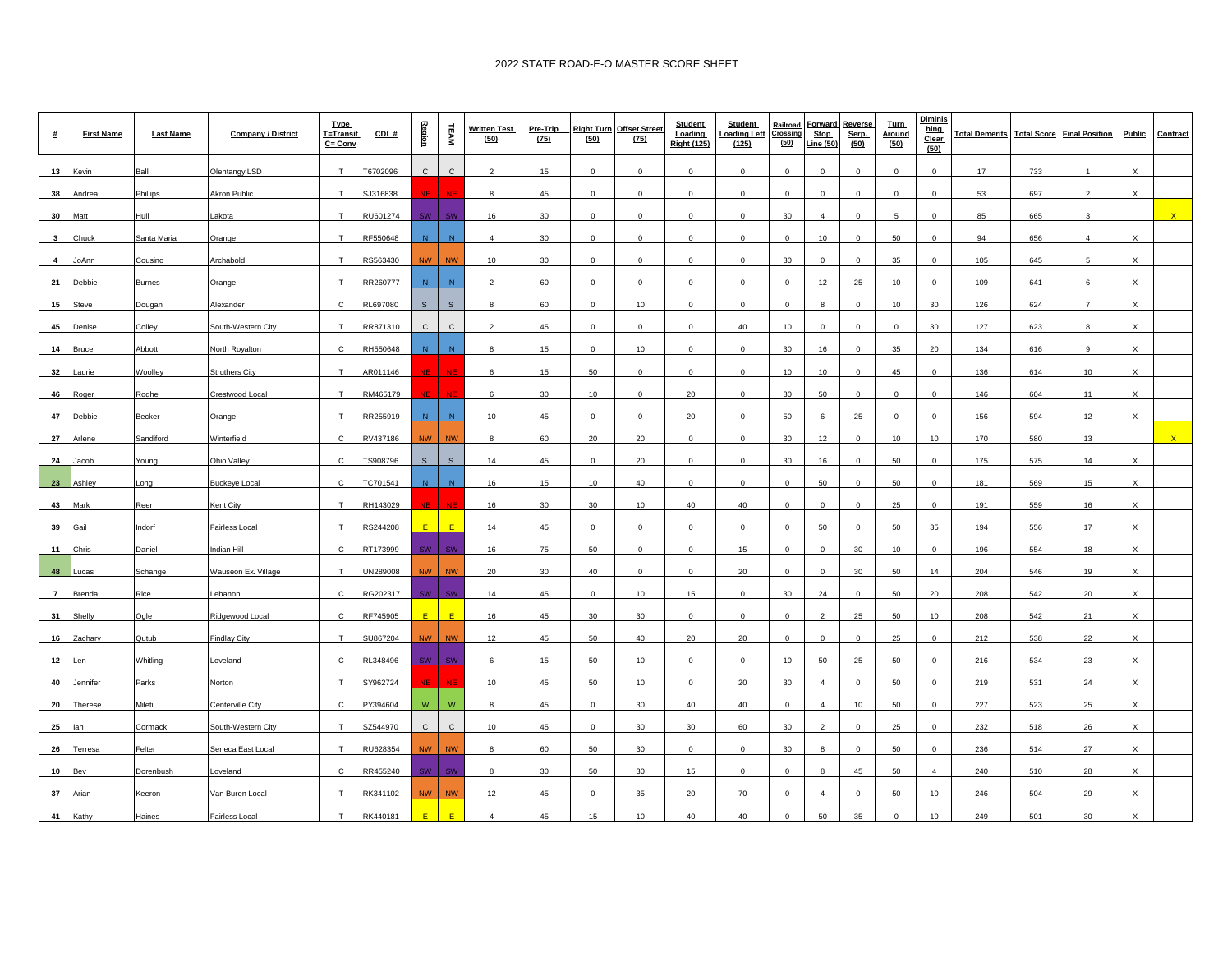| <b>#</b>       | <b>First Name</b> | <b>Last Name</b> | <b>Company / District</b> | <b>Type</b><br>T=Transit<br>$C = Conv$ | CDL#                 | Region       | TEAM         | <b>Written Test</b><br>(50) | Pre-Trip<br>(75) | <b>Right Turn</b><br>(50) | <b>Offset Street</b><br>(75) | Student<br>Loading<br><b>Right (125)</b> | <b>Student</b><br>Loading Left<br>(125) | Railroad<br>Crossing<br>(50) | <b>Stop</b><br>ine (50) | Forward Reverse<br>Serp.<br>(50) | <b>Turn</b><br>Around<br>(50) | Diminis<br>hing<br>Clear<br>(50) | <b>Total Demerits</b> | <b>Total Score</b> | <b>Final Position</b> | <b>Public</b>             | Contract |
|----------------|-------------------|------------------|---------------------------|----------------------------------------|----------------------|--------------|--------------|-----------------------------|------------------|---------------------------|------------------------------|------------------------------------------|-----------------------------------------|------------------------------|-------------------------|----------------------------------|-------------------------------|----------------------------------|-----------------------|--------------------|-----------------------|---------------------------|----------|
| 13             | (evin             | Ball             | Olentangy LSD             | T                                      | T6702096             | $\mathsf{C}$ | $\mathsf{C}$ | $\overline{a}$              | 15               | $\Omega$                  | $\Omega$                     | $\mathbf 0$                              | $\mathbf 0$                             | $\mathbf 0$                  | $\Omega$                | $\mathsf 0$                      | $\Omega$                      | $\mathbf 0$                      | 17                    | 733                | 1                     | X                         |          |
| 38             | Andrea            | Phillips         | Akron Public              | T                                      | SJ316838             |              | <b>NIF</b>   | $\mathbf{R}$                | 45               | $\mathbf{0}$              | $\mathbf{0}$                 | $\mathbf{0}$                             | $\mathbf 0$                             | $\Omega$                     | $\mathbf{0}$            | $\overline{0}$                   | $\Omega$                      | $\mathbf{0}$                     | 53                    | 697                | $\overline{2}$        | $\mathsf{x}$              |          |
| 30             | Matt              | Hull             | _akota                    | T                                      | RU601274             | SW           | SM           | 16                          | 30               | $\mathbf{0}$              | $\Omega$                     | $\Omega$                                 | $\mathbf 0$                             | 30                           | $\Delta$                | $\mathbf 0$                      | 5                             | $\Omega$                         | 85                    | 665                | 3                     |                           |          |
| $\mathbf{3}$   | Chuck             | Santa Maria      | Orange                    | T                                      | RF550648             | N            | N            | $\overline{a}$              | 30               | $\mathbf 0$               | $\mathbf 0$                  | $\mathbf 0$                              | $\mathbf 0$                             | $\mathbf 0$                  | 10                      | $\mathbf 0$                      | 50                            | $\mathbf 0$                      | 94                    | 656                | $\overline{4}$        | X                         |          |
| $\overline{4}$ | JoAnn             | Cousino          | Archabold                 | T                                      | RS563430             | <b>NW</b>    | <b>NW</b>    | 10                          | 30               | $\Omega$                  | $\Omega$                     | $\Omega$                                 | $\mathbf 0$                             | 30                           | $\Omega$                | $\Omega$                         | 35                            | $\Omega$                         | 105                   | 645                | 5                     | $\boldsymbol{\mathsf{x}}$ |          |
| 21             | Debbie            | <b>Burnes</b>    | Orange                    | T                                      | RR260777             | N            | N            | $\mathcal{D}$               | 60               | $\Omega$                  | $\Omega$                     | $\Omega$                                 | $\Omega$                                | $\Omega$                     | 12                      | 25                               | 10                            | $\mathbf{0}$                     | 109                   | 641                | 6                     | x                         |          |
| 15             | steve             | Dougan           | Alexander                 | $\mathsf{C}$                           | RL697080             | S            | $\mathbf{s}$ | $\mathbf{R}$                | 60               | $\mathbf{0}$              | 10                           | $\circ$                                  | $\mathbf 0$                             | $\mathbf{0}$                 | <b>R</b>                | $\circ$                          | 10                            | 30                               | 126                   | 624                | $\overline{7}$        | $\boldsymbol{\mathsf{x}}$ |          |
| 45             | Denise            | Colley           | South-Western City        | T                                      | RR871310             | $\mathsf{C}$ | $\mathbf{C}$ | $\mathcal{P}$               | 45               | $\circ$                   | $\mathbf{0}$                 | $\circ$                                  | 40                                      | 10                           | $\Omega$                | $\circ$                          | $\Omega$                      | 30                               | 127                   | 623                | 8                     | $\times$                  |          |
| 14             | <b>Bruce</b>      | Abbott           | North Royalton            | $\mathbf{C}$                           | RH550648             | N            | ${\sf N}$    | 8                           | 15               | $\mathbf 0$               | 10                           | $\mathbf 0$                              | $\mathbf 0$                             | 30                           | 16                      | $\mathbf 0$                      | 35                            | 20                               | 134                   | 616                | 9                     | X                         |          |
| 32             | aurie             | Woolley          | <b>Struthers City</b>     | T                                      | AR011146             |              | <b>AID</b>   | 6                           | 15               | 50                        | $\mathbf{0}$                 | $\circ$                                  | $\mathbf 0$                             | 10                           | 10                      | $\circ$                          | 45                            | $\mathbf{0}$                     | 136                   | 614                | 10                    | $\boldsymbol{\mathsf{x}}$ |          |
| 46             | Roger             | Rodhe            | Crestwood Local           | T                                      | RM465179             |              | <b>NIF</b>   | 6                           | 30               | 10                        | $\Omega$                     | 20                                       | $\mathbf 0$                             | 30                           | 50                      | $\circ$                          | $\Omega$                      | $\mathbf{0}$                     | 146                   | 604                | 11                    | $\boldsymbol{\mathsf{x}}$ |          |
| 47             | Debbie            | Becker           | Orange                    | T                                      | RR255919             | N            | N            | 10                          | 45               | $\mathbf 0$               | $\Omega$                     | 20                                       | $\mathbf 0$                             | 50                           |                         | 25                               | $\Omega$                      | $\mathbf 0$                      | 156                   | 594                | 12                    | x                         |          |
| 27             | vrlene            | Sandiford        | Winterfield               | C                                      | <b>RV437186</b>      | <b>NW</b>    | <b>NW</b>    | 8                           | 60               | 20                        | 20                           | $\mathbf 0$                              | $\mathbf 0$                             | 30                           | 12                      | $\mathbf 0$                      | 10                            | 10                               | 170                   | 580                | 13                    |                           |          |
| 24             | acob              | Young            | Ohio Valley               | $\mathbf{C}$                           | TS908796             | S            | $\mathsf{s}$ | 14                          | 45               | $\Omega$                  | 20                           | $\mathbf{0}$                             | $\mathbf 0$                             | 30                           | 16                      | $\overline{0}$                   | 50                            | $\overline{0}$                   | 175                   | 575                | 14                    | $\boldsymbol{\mathsf{x}}$ |          |
| 23             | Ashley            | Long             | <b>Buckeye Local</b>      | $\mathsf{C}$                           | TC701541             | N            | ${\sf N}$    | 16                          | 15               | 10                        | 40                           | $\Omega$                                 | $\mathbf 0$                             | $\Omega$                     | 50                      | $\mathbf 0$                      | 50                            | $\mathbf 0$                      | 181                   | 569                | 15                    | X                         |          |
| 43             | Mark              | Reer             | Kent City                 | T                                      | RH143029             |              | MB           | 16                          | 30               | 30                        | 10                           | 40                                       | 40                                      | $\mathbf{0}$                 | $\mathbf{0}$            | $\circ$                          | 25                            | $\mathbf{0}$                     | 191                   | 559                | 16                    | $\boldsymbol{\mathsf{x}}$ |          |
| 39             | Gail              | Indorf           | Fairless Local            | T                                      | RS244208             | F.           | E            | 14                          | 45               | $\mathsf 0$               | $\mathbf{0}$                 | $\mathbf 0$                              | $\mathbf 0$                             | $\mathbf 0$                  | 50                      | $\mathbf 0$                      | 50                            | 35                               | 194                   | 556                | 17                    | X                         |          |
| 11             | Chris             | Daniel           | Indian Hill               | $\mathbf{C}$                           | RT173999             | SW.          | SW           | 16                          | 75               | 50                        | $\Omega$                     | $\Omega$                                 | 15                                      | $\Omega$                     | $\Omega$                | 30                               | 10                            | $\mathbf{0}$                     | 196                   | 554                | 18                    | x                         |          |
| 48             | ucas              | Schange          | Wauseon Ex. Village       | T                                      | JN289008             | <b>NW</b>    | <b>NW</b>    | 20                          | 30               | 40                        | $\mathbf{0}$                 | $\circ$                                  | 20                                      | $\mathbf{0}$                 | $\mathbf{0}$            | 30                               | 50                            | 14                               | 204                   | 546                | 19                    | $\boldsymbol{\mathsf{x}}$ |          |
| $\overline{7}$ | Brenda            | Rice             | ebanon.                   | $\mathbf C$                            | RG202317             | <b>SW</b>    | SW           | 14                          | 45               | $\mathbf{0}$              | 10                           | 15                                       | $\,0\,$                                 | 30                           | 24                      | $\mathbf 0$                      | 50                            | 20                               | 208                   | 542                | 20                    | $\times$                  |          |
| 31             | Shelly            | Ogle             | Ridgewood Local           | $\mathsf{C}$                           | RF745905             | F.           | F.           | 16                          | 45               | 30                        | 30                           | $\Omega$                                 | $\mathbf 0$                             | $\Omega$                     |                         | 25                               | 50                            | 10                               | 208                   | 542                | 21                    | $\boldsymbol{\mathsf{x}}$ |          |
| 16             | Zacharv           | Qutub            | <b>Findlay City</b>       | T                                      | SU867204             | <b>NW</b>    | <b>NW</b>    | 12                          | 45               | 50                        | 40                           | 20                                       | 20                                      | $\mathbf{0}$                 | $\Omega$                | $\circ$                          | 25                            | $\mathbf{0}$                     | 212                   | 538                | 22                    | $\boldsymbol{\mathsf{x}}$ |          |
| 12             | l en              | Whitling         | _oveland                  | $\mathsf{C}$                           | RL348496             | <b>SW</b>    | <b>SW</b>    | ĥ                           | 15               | 50                        | 10                           | $\circ$                                  | $\mathbf{0}$                            | 10                           | 50                      | 25                               | 50                            | $\Omega$                         | 216                   | 534                | 23                    | $\boldsymbol{\mathsf{x}}$ |          |
| 40             | Jennifer          | Parks            | Norton                    | T                                      | SY962724             |              | NF           | 10                          | 45               | 50                        | 10                           | $\mathbf 0$                              | 20                                      | 30                           | $\overline{4}$          | $\mathbf 0$                      | 50                            | $\mathbf 0$                      | 219                   | 531                | 24                    | X                         |          |
| 20             | herese            | Mileti           | Centerville City          | $\mathsf{C}$                           | <sup>2</sup> Y394604 | W            | W            | 8                           | 45               | $\mathbf 0$               | 30                           | 40                                       | 40                                      | $\mathbf 0$                  | $\overline{4}$          | 10                               | 50                            | $\mathbf 0$                      | 227                   | 523                | 25                    | X                         |          |
| 25             | lan               | Cormack          | South-Western City        | T                                      | SZ544970             | $\mathsf{C}$ | $\mathbf{C}$ | 10                          | 45               | $\mathbf{0}$              | 30                           | 30                                       | 60                                      | 30                           | 2                       | $\overline{0}$                   | 25                            | $\overline{0}$                   | 232                   | 518                | 26                    | $\mathsf{x}$              |          |
| 26             | Terresa           | Felter           | Seneca East Local         | T                                      | RU628354             | <b>NW</b>    | <b>NW</b>    |                             | 60               | 50                        | 30                           | $\Omega$                                 | $\Omega$                                | 30                           |                         | $\Omega$                         | 50                            | $\Omega$                         | 236                   | 514                | 27                    |                           |          |
| 10             | sev.              | Dorenbush        | oveland                   | $\mathsf{C}$                           | RR455240             | sw.          | 3M           | 8                           | 30               | 50                        | 30                           | 15                                       | $\mathbf{0}$                            | $\Omega$                     |                         | 45                               | 50                            | $\overline{4}$                   | 240                   | 510                | 28                    | $\boldsymbol{\mathsf{x}}$ |          |
| 37             | Arian             | Keeron           | Van Buren Local           | T                                      | RK341102             | <b>NW</b>    | NW           | 12                          | 45               | $\Omega$                  | 35                           | 20                                       | 70                                      | $\Omega$                     | $\mathbf{A}$            | $\Omega$                         | 50                            | 10                               | 246                   | 504                | 29                    | X                         |          |
| 41             | Kathy             | Haines           | Fairless Local            | T                                      | RK440181             |              |              | $\Delta$                    | 45               | 15                        | 10                           | 40                                       | 40                                      | $\Omega$                     | 50                      | 35                               | $\Omega$                      | 10                               | 249                   | 501                | 30                    |                           |          |